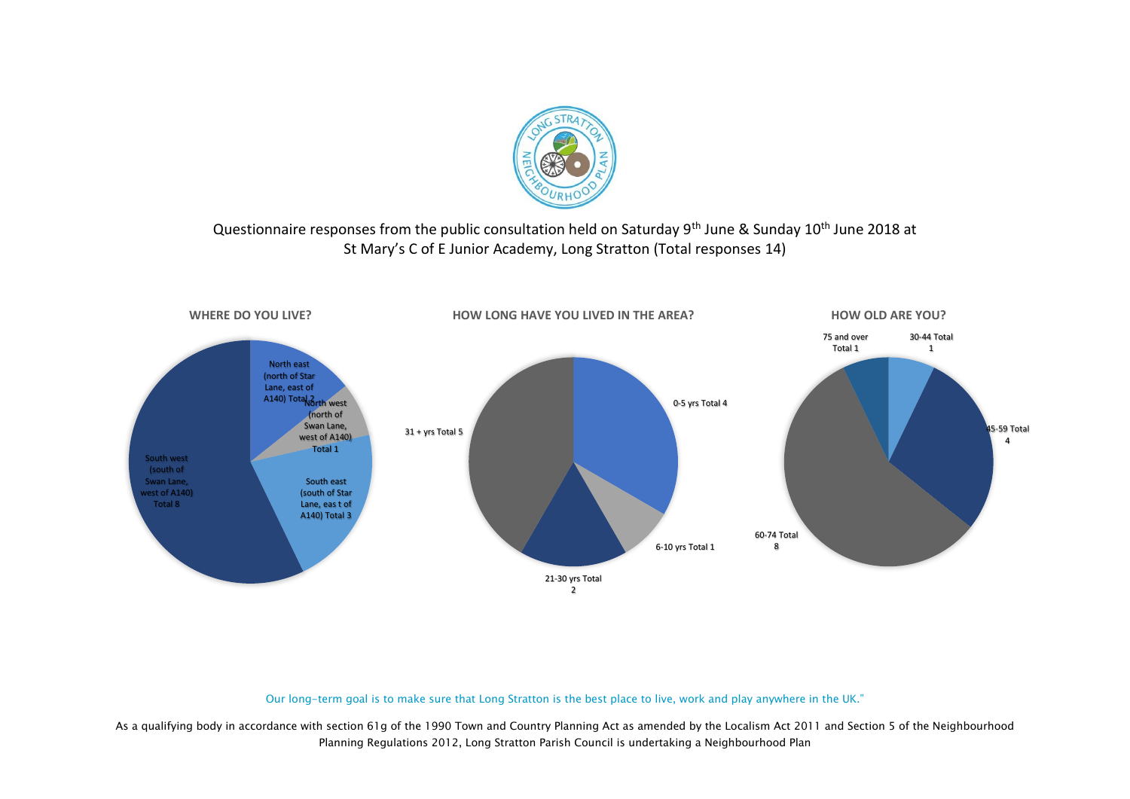

### Questionnaire responses from the public consultation held on Saturday 9<sup>th</sup> June & Sunday 10<sup>th</sup> June 2018 at St Mary's C of E Junior Academy, Long Stratton (Total responses 14)



#### Our long-term goal is to make sure that Long Stratton is the best place to live, work and play anywhere in the UK."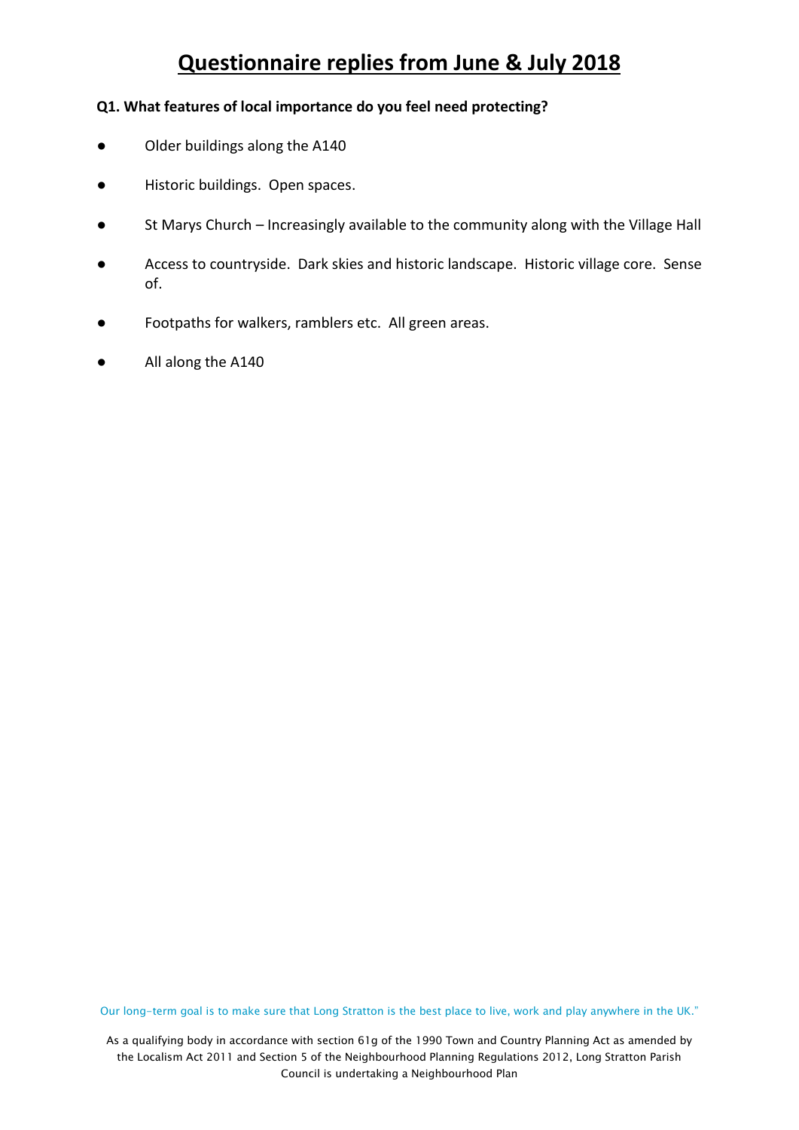#### **Q1. What features of local importance do you feel need protecting?**

- Older buildings along the A140
- Historic buildings. Open spaces.
- St Marys Church Increasingly available to the community along with the Village Hall
- Access to countryside. Dark skies and historic landscape. Historic village core. Sense of.
- Footpaths for walkers, ramblers etc. All green areas.
- All along the A140

Our long-term goal is to make sure that Long Stratton is the best place to live, work and play anywhere in the UK."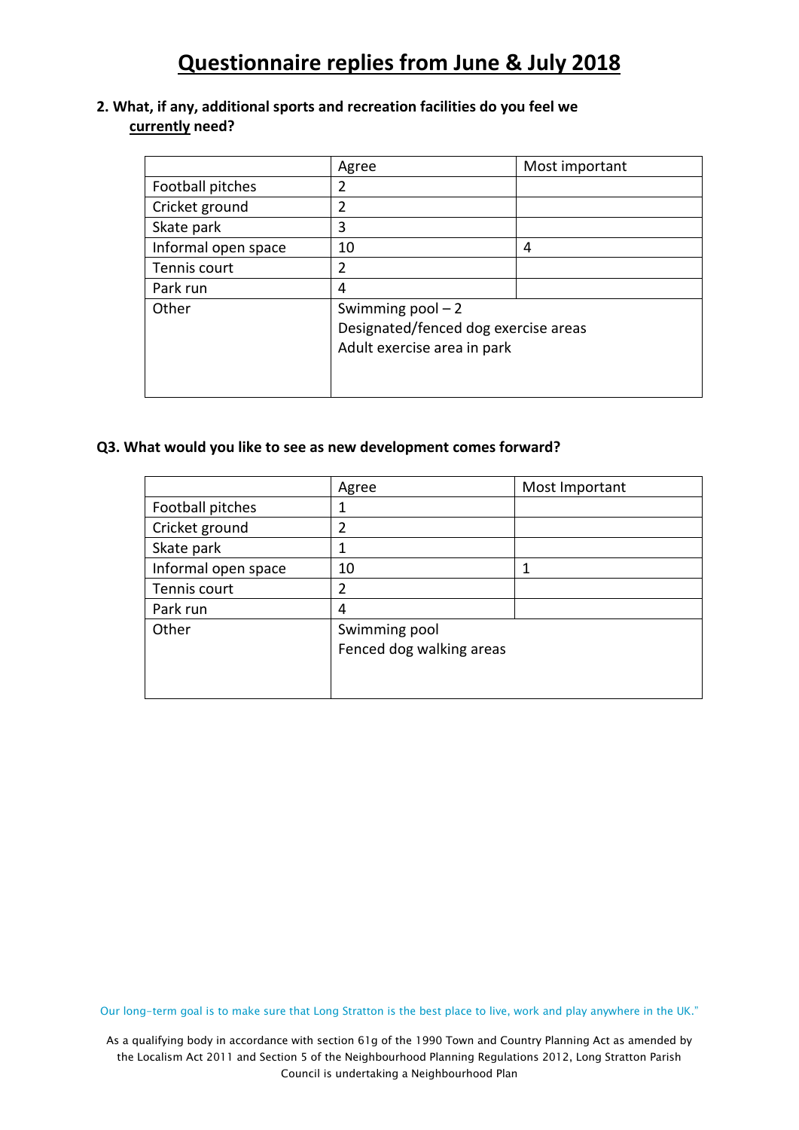#### **2. What, if any, additional sports and recreation facilities do you feel we currently need?**

|                     | Agree                                | Most important |
|---------------------|--------------------------------------|----------------|
| Football pitches    | 2                                    |                |
| Cricket ground      | $\overline{2}$                       |                |
| Skate park          | 3                                    |                |
| Informal open space | 10                                   | 4              |
| Tennis court        | $\overline{2}$                       |                |
| Park run            | 4                                    |                |
| Other               | Swimming $pool - 2$                  |                |
|                     | Designated/fenced dog exercise areas |                |
|                     | Adult exercise area in park          |                |
|                     |                                      |                |
|                     |                                      |                |

#### **Q3. What would you like to see as new development comes forward?**

|                     | Agree                    | Most Important |
|---------------------|--------------------------|----------------|
| Football pitches    | 1                        |                |
| Cricket ground      | $\overline{2}$           |                |
| Skate park          | 1                        |                |
| Informal open space | 10                       |                |
| Tennis court        | 2                        |                |
| Park run            | 4                        |                |
| Other               | Swimming pool            |                |
|                     | Fenced dog walking areas |                |
|                     |                          |                |
|                     |                          |                |

Our long-term goal is to make sure that Long Stratton is the best place to live, work and play anywhere in the UK."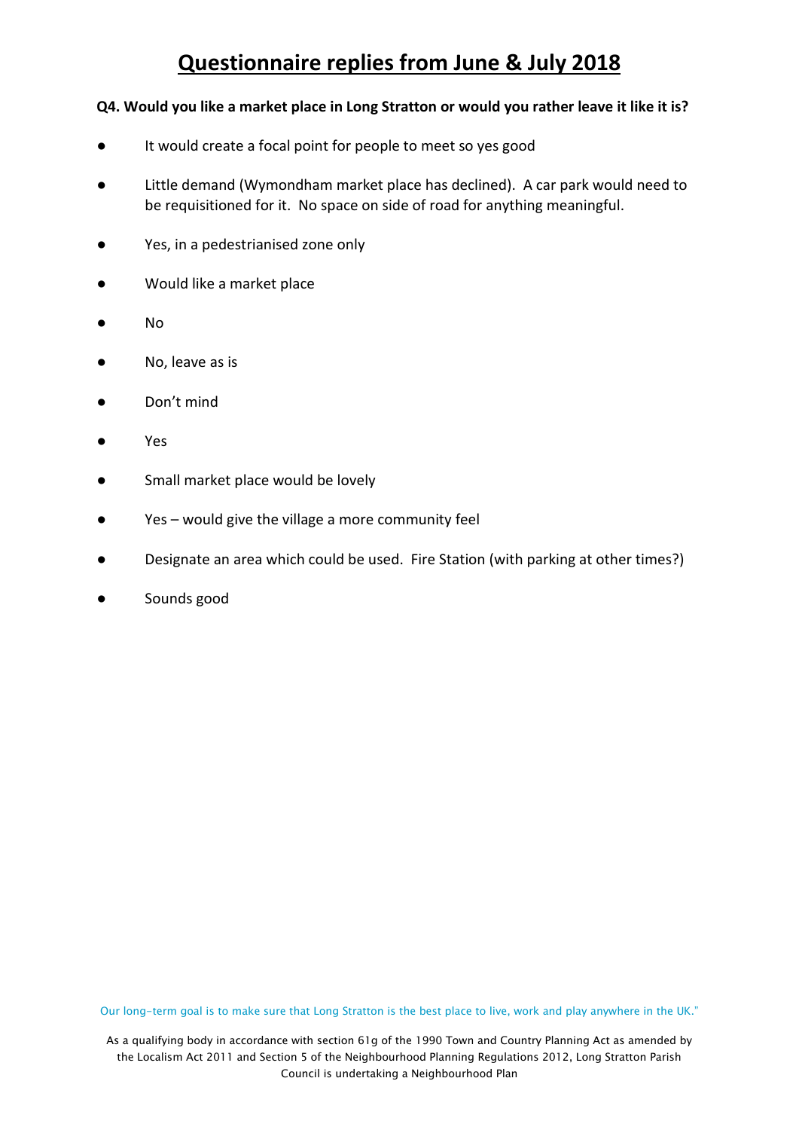#### **Q4. Would you like a market place in Long Stratton or would you rather leave it like it is?**

- **●** It would create a focal point for people to meet so yes good
- Little demand (Wymondham market place has declined). A car park would need to be requisitioned for it. No space on side of road for anything meaningful.
- Yes, in a pedestrianised zone only
- Would like a market place
- No
- No, leave as is
- Don't mind
- Yes
- Small market place would be lovely
- Yes would give the village a more community feel
- Designate an area which could be used. Fire Station (with parking at other times?)
- Sounds good

Our long-term goal is to make sure that Long Stratton is the best place to live, work and play anywhere in the UK."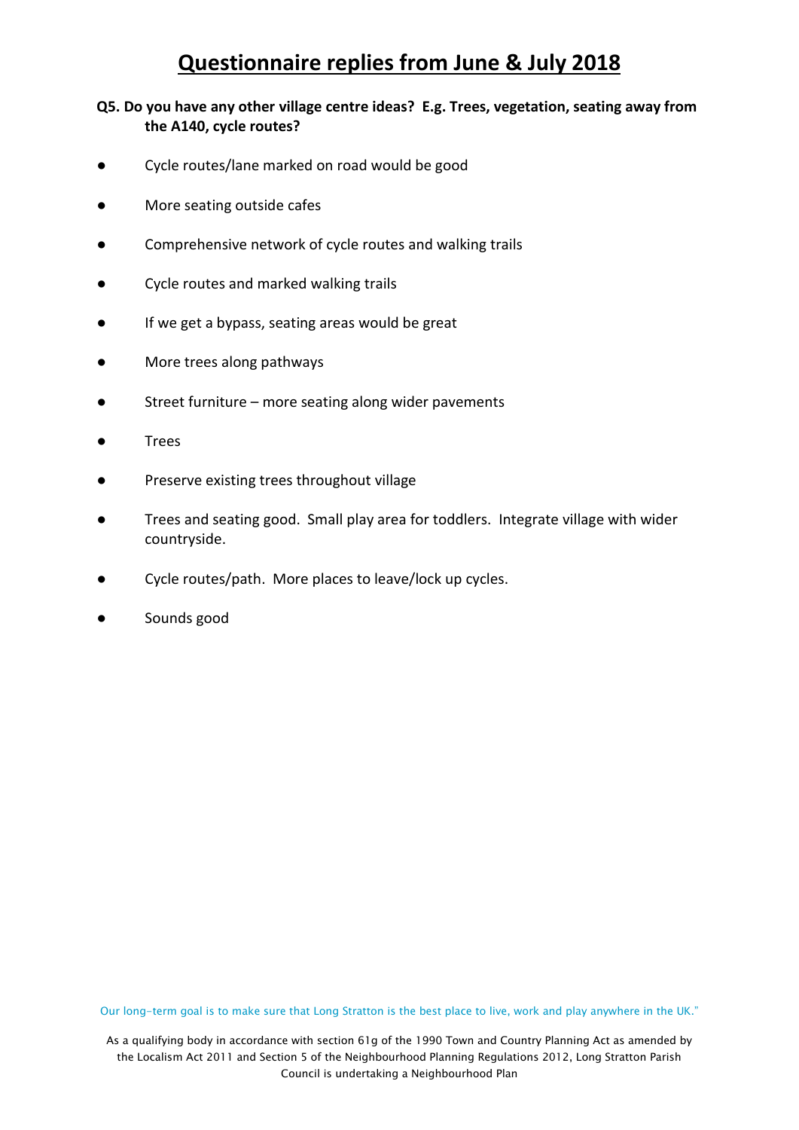#### **Q5. Do you have any other village centre ideas? E.g. Trees, vegetation, seating away from the A140, cycle routes?**

- Cycle routes/lane marked on road would be good
- More seating outside cafes
- Comprehensive network of cycle routes and walking trails
- Cycle routes and marked walking trails
- If we get a bypass, seating areas would be great
- More trees along pathways
- Street furniture more seating along wider pavements
- **Trees**
- Preserve existing trees throughout village
- Trees and seating good. Small play area for toddlers. Integrate village with wider countryside.
- Cycle routes/path. More places to leave/lock up cycles.
- Sounds good

Our long-term goal is to make sure that Long Stratton is the best place to live, work and play anywhere in the UK."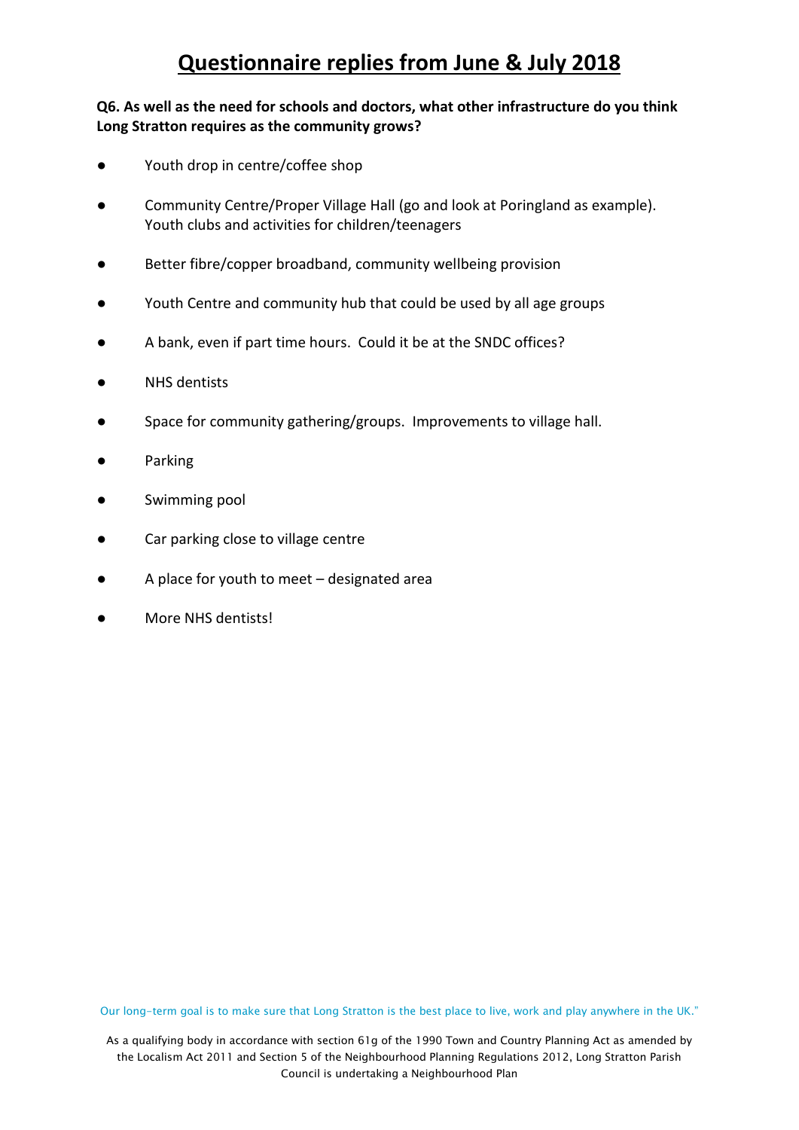### **Q6. As well as the need for schools and doctors, what other infrastructure do you think Long Stratton requires as the community grows?**

- Youth drop in centre/coffee shop
- Community Centre/Proper Village Hall (go and look at Poringland as example). Youth clubs and activities for children/teenagers
- Better fibre/copper broadband, community wellbeing provision
- Youth Centre and community hub that could be used by all age groups
- A bank, even if part time hours. Could it be at the SNDC offices?
- **NHS** dentists
- Space for community gathering/groups. Improvements to village hall.
- **Parking**
- Swimming pool
- Car parking close to village centre
- A place for youth to meet  $-$  designated area
- More NHS dentists!

Our long-term goal is to make sure that Long Stratton is the best place to live, work and play anywhere in the UK."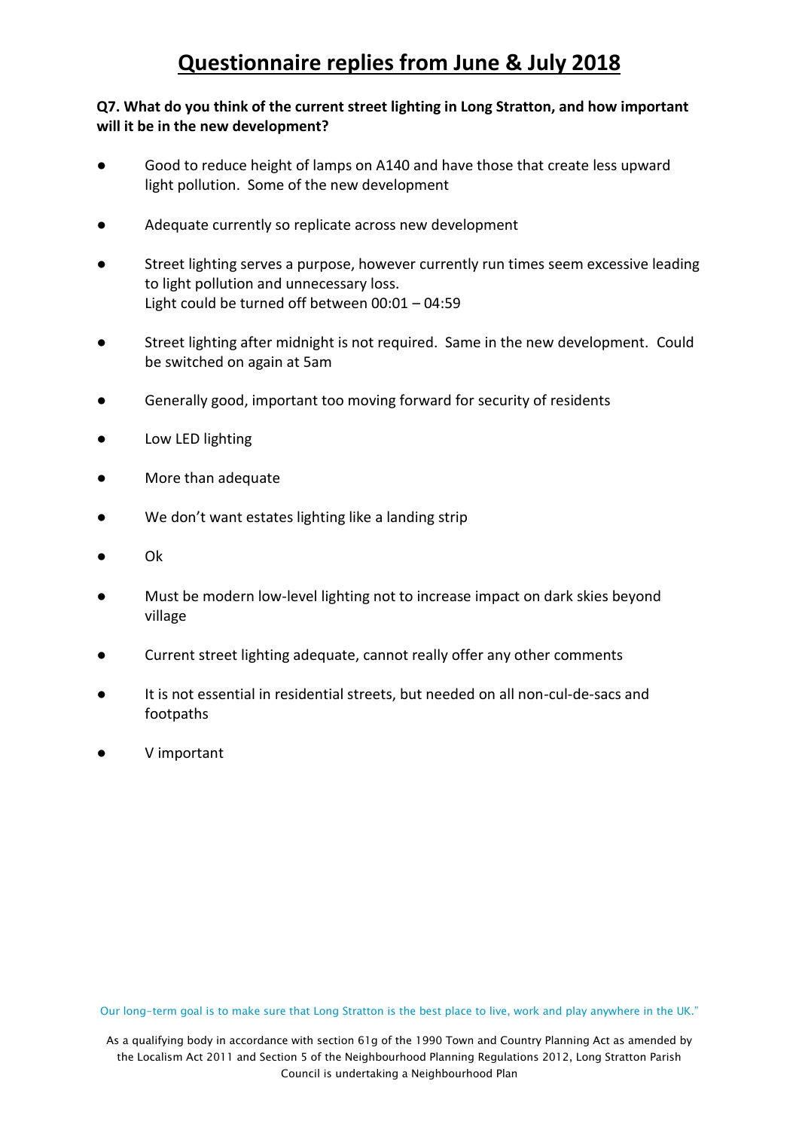#### **Q7. What do you think of the current street lighting in Long Stratton, and how important will it be in the new development?**

- Good to reduce height of lamps on A140 and have those that create less upward light pollution. Some of the new development
- Adequate currently so replicate across new development
- Street lighting serves a purpose, however currently run times seem excessive leading to light pollution and unnecessary loss. Light could be turned off between 00:01 – 04:59
- Street lighting after midnight is not required. Same in the new development. Could be switched on again at 5am
- Generally good, important too moving forward for security of residents
- Low LED lighting
- More than adequate
- We don't want estates lighting like a landing strip
- Ok
- Must be modern low-level lighting not to increase impact on dark skies beyond village
- Current street lighting adequate, cannot really offer any other comments
- It is not essential in residential streets, but needed on all non-cul-de-sacs and footpaths
- V important

Our long-term goal is to make sure that Long Stratton is the best place to live, work and play anywhere in the UK."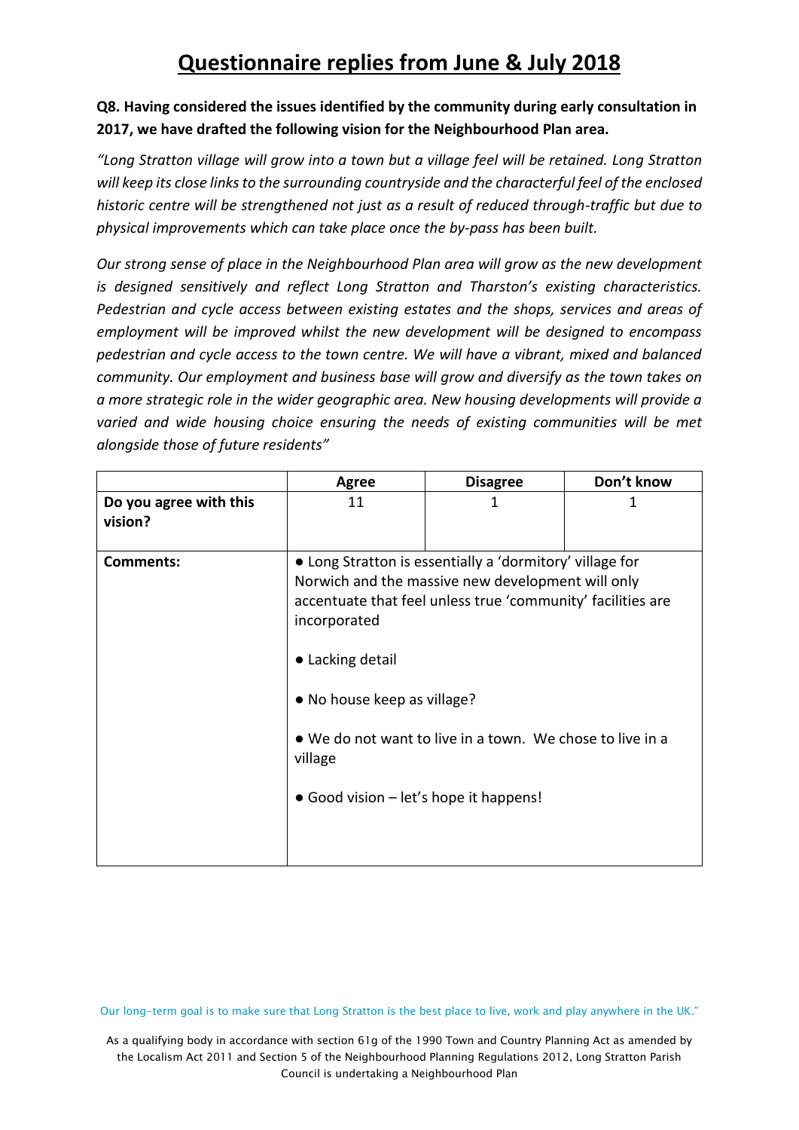### **Q8. Having considered the issues identified by the community during early consultation in 2017, we have drafted the following vision for the Neighbourhood Plan area.**

*"Long Stratton village will grow into a town but a village feel will be retained. Long Stratton will keep its close links to the surrounding countryside and the characterful feel of the enclosed historic centre will be strengthened not just as a result of reduced through-traffic but due to physical improvements which can take place once the by-pass has been built.*

*Our strong sense of place in the Neighbourhood Plan area will grow as the new development is designed sensitively and reflect Long Stratton and Tharston's existing characteristics. Pedestrian and cycle access between existing estates and the shops, services and areas of employment will be improved whilst the new development will be designed to encompass pedestrian and cycle access to the town centre. We will have a vibrant, mixed and balanced community. Our employment and business base will grow and diversify as the town takes on a more strategic role in the wider geographic area. New housing developments will provide a varied and wide housing choice ensuring the needs of existing communities will be met alongside those of future residents"*

|                                   | <b>Agree</b>                                                                                                         | <b>Disagree</b>                                                                                                                                                                                                                           | Don't know |
|-----------------------------------|----------------------------------------------------------------------------------------------------------------------|-------------------------------------------------------------------------------------------------------------------------------------------------------------------------------------------------------------------------------------------|------------|
| Do you agree with this<br>vision? | 11                                                                                                                   |                                                                                                                                                                                                                                           | 1          |
| <b>Comments:</b>                  | incorporated<br>• Lacking detail<br>• No house keep as village?<br>village<br>• Good vision – let's hope it happens! | • Long Stratton is essentially a 'dormitory' village for<br>Norwich and the massive new development will only<br>accentuate that feel unless true 'community' facilities are<br>• We do not want to live in a town. We chose to live in a |            |

Our long-term goal is to make sure that Long Stratton is the best place to live, work and play anywhere in the UK."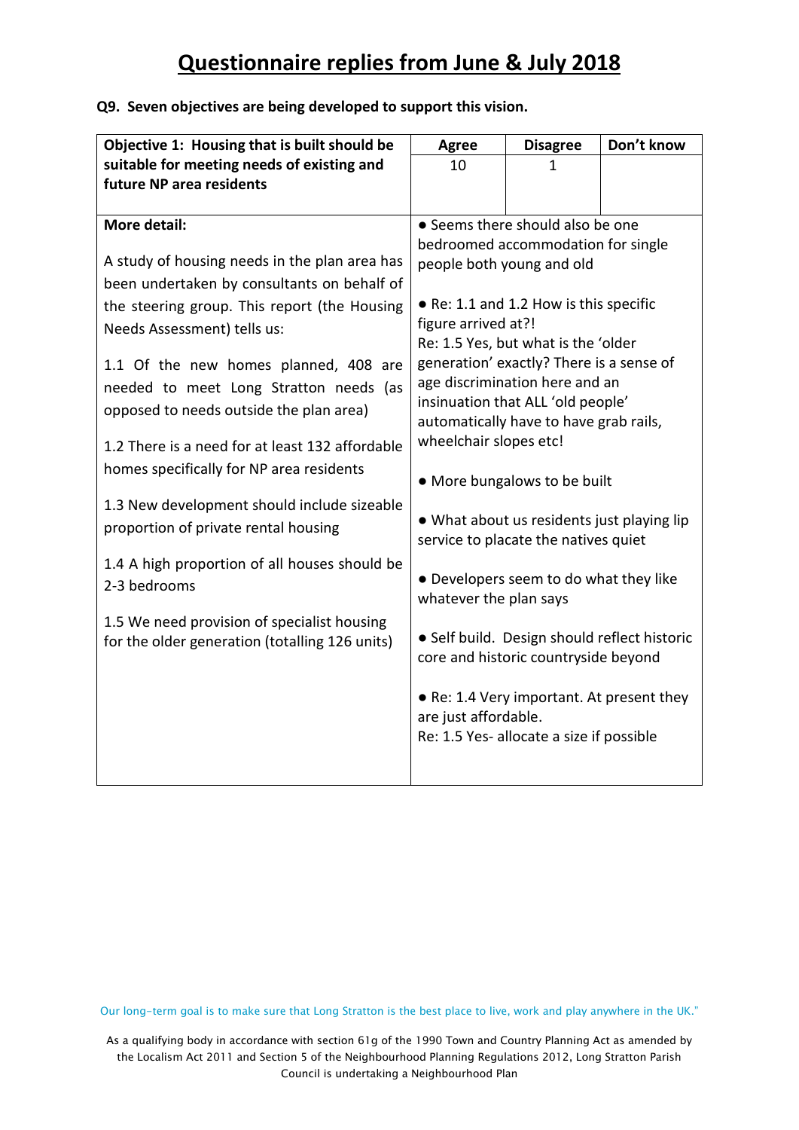#### **Q9. Seven objectives are being developed to support this vision.**

| Objective 1: Housing that is built should be    | <b>Agree</b>                 | <b>Disagree</b>                                                                    | Don't know                                   |  |
|-------------------------------------------------|------------------------------|------------------------------------------------------------------------------------|----------------------------------------------|--|
| suitable for meeting needs of existing and      | 10                           | 1                                                                                  |                                              |  |
| future NP area residents                        |                              |                                                                                    |                                              |  |
| More detail:                                    |                              | • Seems there should also be one                                                   |                                              |  |
|                                                 |                              | bedroomed accommodation for single                                                 |                                              |  |
| A study of housing needs in the plan area has   |                              | people both young and old                                                          |                                              |  |
| been undertaken by consultants on behalf of     |                              |                                                                                    |                                              |  |
| the steering group. This report (the Housing    |                              | • Re: 1.1 and 1.2 How is this specific                                             |                                              |  |
| Needs Assessment) tells us:                     | figure arrived at?!          |                                                                                    |                                              |  |
|                                                 |                              | Re: 1.5 Yes, but what is the 'older                                                |                                              |  |
| 1.1 Of the new homes planned, 408 are           |                              | generation' exactly? There is a sense of                                           |                                              |  |
| needed to meet Long Stratton needs (as          |                              | age discrimination here and an<br>insinuation that ALL 'old people'                |                                              |  |
| opposed to needs outside the plan area)         |                              | automatically have to have grab rails,                                             |                                              |  |
| 1.2 There is a need for at least 132 affordable | wheelchair slopes etc!       |                                                                                    |                                              |  |
| homes specifically for NP area residents        |                              |                                                                                    |                                              |  |
|                                                 | • More bungalows to be built |                                                                                    |                                              |  |
| 1.3 New development should include sizeable     |                              |                                                                                    |                                              |  |
| proportion of private rental housing            |                              | • What about us residents just playing lip<br>service to placate the natives quiet |                                              |  |
| 1.4 A high proportion of all houses should be   |                              |                                                                                    |                                              |  |
| 2-3 bedrooms                                    |                              | • Developers seem to do what they like                                             |                                              |  |
|                                                 | whatever the plan says       |                                                                                    |                                              |  |
| 1.5 We need provision of specialist housing     |                              |                                                                                    |                                              |  |
| for the older generation (totalling 126 units)  |                              |                                                                                    | · Self build. Design should reflect historic |  |
|                                                 |                              | core and historic countryside beyond                                               |                                              |  |
|                                                 |                              | • Re: 1.4 Very important. At present they                                          |                                              |  |
|                                                 | are just affordable.         |                                                                                    |                                              |  |
|                                                 |                              | Re: 1.5 Yes- allocate a size if possible                                           |                                              |  |
|                                                 |                              |                                                                                    |                                              |  |
|                                                 |                              |                                                                                    |                                              |  |

Our long-term goal is to make sure that Long Stratton is the best place to live, work and play anywhere in the UK."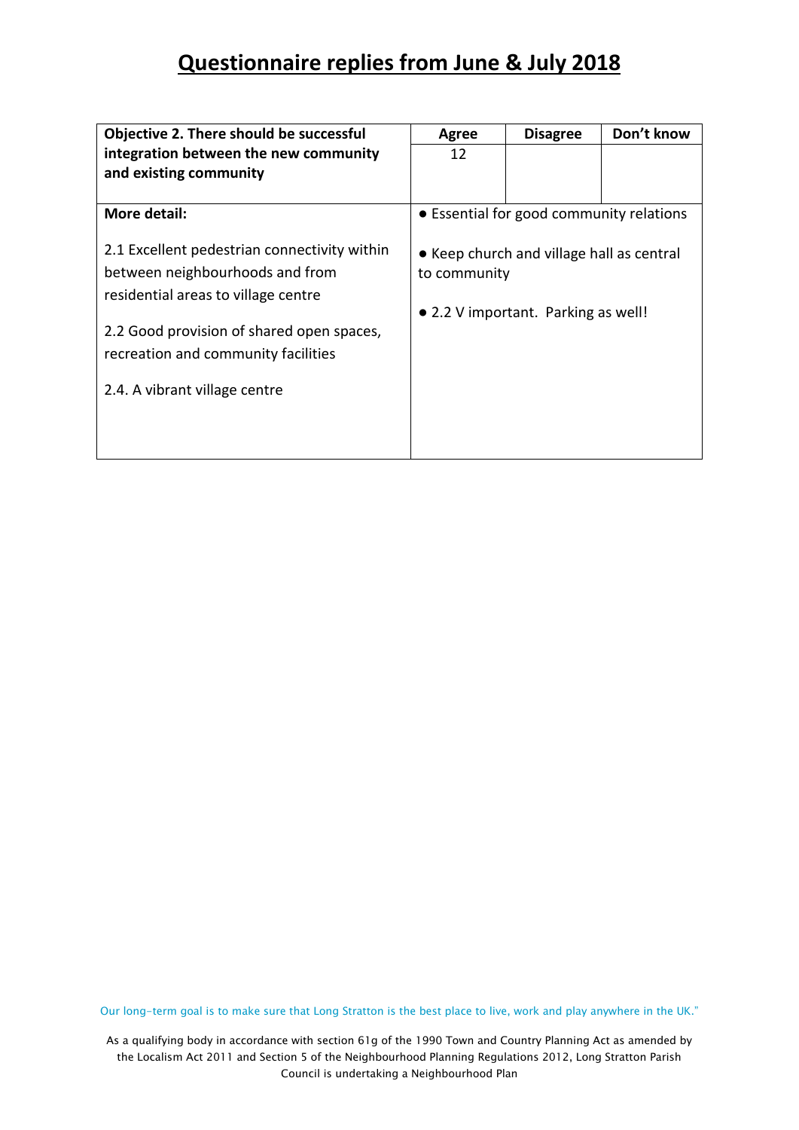| Objective 2. There should be successful                                                                                                                                                                                                     | Agree        | <b>Disagree</b>                                                                  | Don't know |
|---------------------------------------------------------------------------------------------------------------------------------------------------------------------------------------------------------------------------------------------|--------------|----------------------------------------------------------------------------------|------------|
| integration between the new community                                                                                                                                                                                                       | 12           |                                                                                  |            |
| and existing community                                                                                                                                                                                                                      |              |                                                                                  |            |
|                                                                                                                                                                                                                                             |              |                                                                                  |            |
| More detail:                                                                                                                                                                                                                                |              | • Essential for good community relations                                         |            |
| 2.1 Excellent pedestrian connectivity within<br>between neighbourhoods and from<br>residential areas to village centre<br>2.2 Good provision of shared open spaces,<br>recreation and community facilities<br>2.4. A vibrant village centre | to community | • Keep church and village hall as central<br>• 2.2 V important. Parking as well! |            |
|                                                                                                                                                                                                                                             |              |                                                                                  |            |
|                                                                                                                                                                                                                                             |              |                                                                                  |            |

Our long-term goal is to make sure that Long Stratton is the best place to live, work and play anywhere in the UK."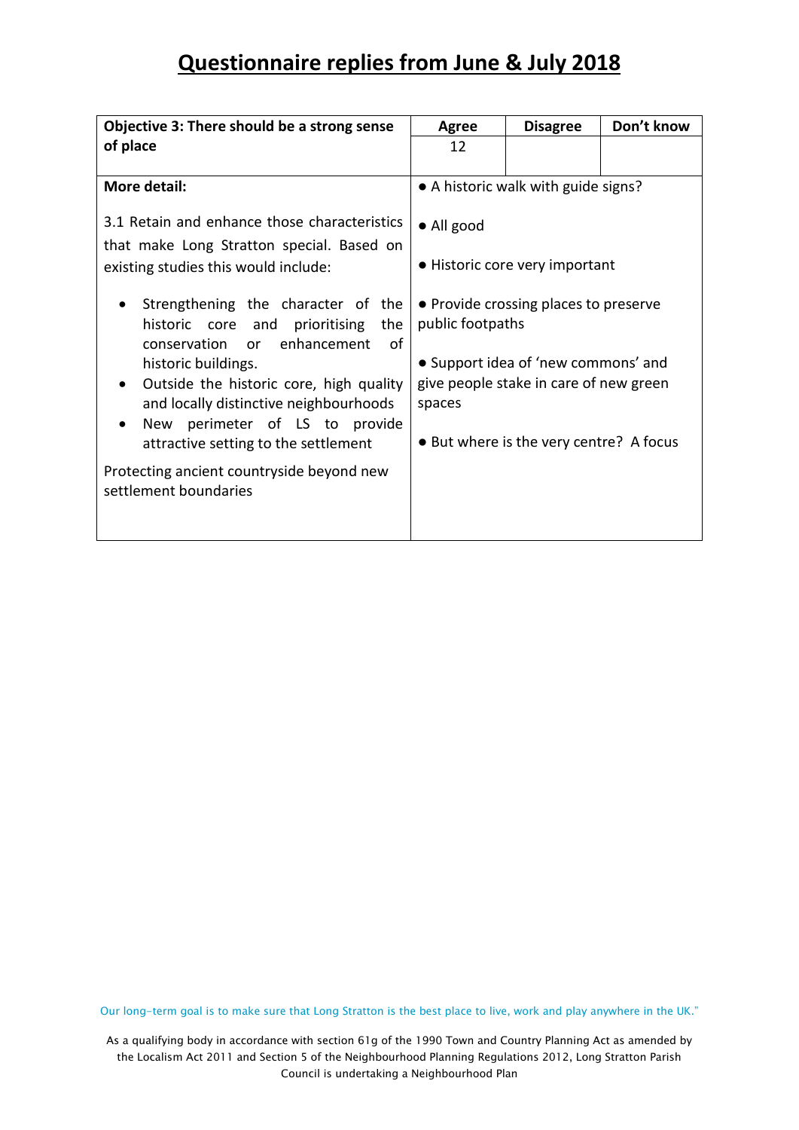| Objective 3: There should be a strong sense                                                                                                                                                                                                                                                                                                                                                                         | <b>Agree</b>               | <b>Disagree</b>                                                                                                                                                   | Don't know |
|---------------------------------------------------------------------------------------------------------------------------------------------------------------------------------------------------------------------------------------------------------------------------------------------------------------------------------------------------------------------------------------------------------------------|----------------------------|-------------------------------------------------------------------------------------------------------------------------------------------------------------------|------------|
| of place                                                                                                                                                                                                                                                                                                                                                                                                            | 12                         |                                                                                                                                                                   |            |
|                                                                                                                                                                                                                                                                                                                                                                                                                     |                            |                                                                                                                                                                   |            |
| More detail:                                                                                                                                                                                                                                                                                                                                                                                                        |                            | • A historic walk with guide signs?                                                                                                                               |            |
| 3.1 Retain and enhance those characteristics<br>that make Long Stratton special. Based on<br>existing studies this would include:                                                                                                                                                                                                                                                                                   | $\bullet$ All good         | • Historic core very important                                                                                                                                    |            |
| Strengthening the character of the<br>historic core and<br>prioritising<br>the<br>enhancement<br>conservation<br>0f<br><b>or</b><br>historic buildings.<br>Outside the historic core, high quality<br>$\bullet$<br>and locally distinctive neighbourhoods<br>perimeter of LS to provide<br><b>New</b><br>attractive setting to the settlement<br>Protecting ancient countryside beyond new<br>settlement boundaries | public footpaths<br>spaces | • Provide crossing places to preserve<br>• Support idea of 'new commons' and<br>give people stake in care of new green<br>• But where is the very centre? A focus |            |

Our long-term goal is to make sure that Long Stratton is the best place to live, work and play anywhere in the UK."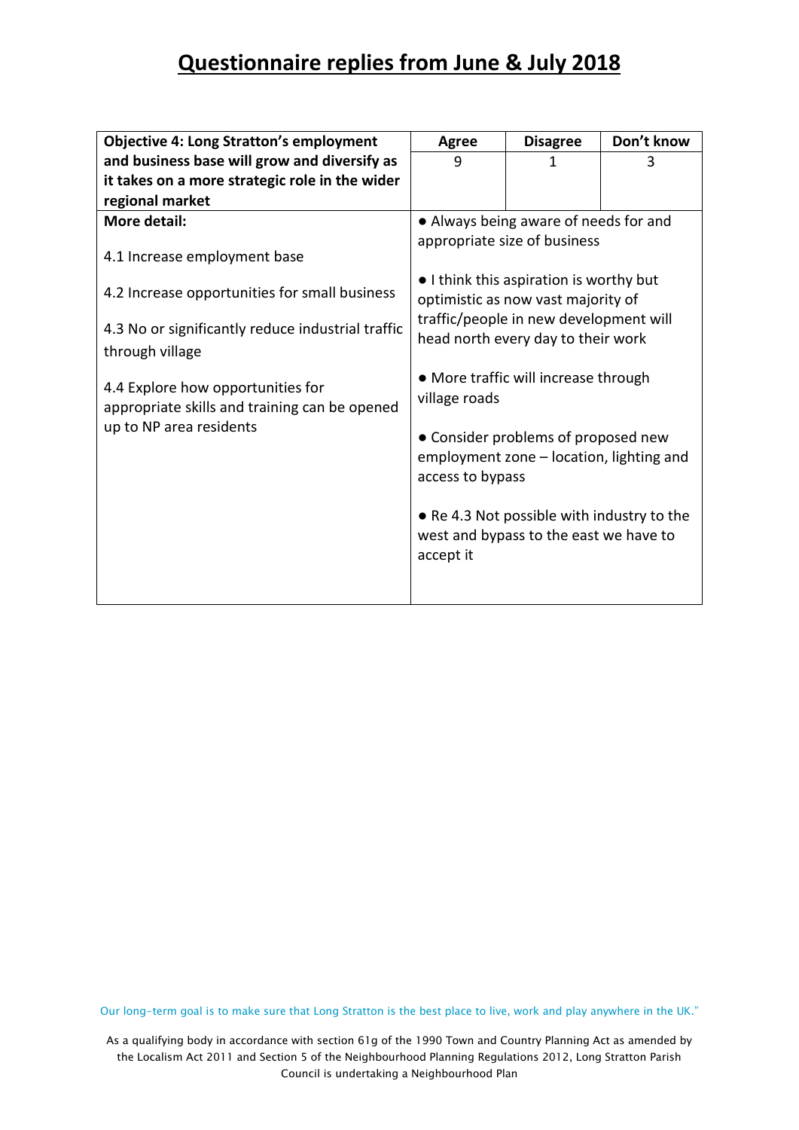| <b>Objective 4: Long Stratton's employment</b>                                     | <b>Agree</b>                                                                                                                                                  | <b>Disagree</b>                                                                      | Don't know |  |
|------------------------------------------------------------------------------------|---------------------------------------------------------------------------------------------------------------------------------------------------------------|--------------------------------------------------------------------------------------|------------|--|
| and business base will grow and diversify as                                       | 9                                                                                                                                                             | 1                                                                                    | 3          |  |
| it takes on a more strategic role in the wider                                     |                                                                                                                                                               |                                                                                      |            |  |
| regional market                                                                    |                                                                                                                                                               |                                                                                      |            |  |
| More detail:                                                                       |                                                                                                                                                               | • Always being aware of needs for and                                                |            |  |
| 4.1 Increase employment base                                                       |                                                                                                                                                               | appropriate size of business                                                         |            |  |
| 4.2 Increase opportunities for small business                                      | • I think this aspiration is worthy but<br>optimistic as now vast majority of<br>traffic/people in new development will<br>head north every day to their work |                                                                                      |            |  |
| 4.3 No or significantly reduce industrial traffic<br>through village               |                                                                                                                                                               |                                                                                      |            |  |
| 4.4 Explore how opportunities for<br>appropriate skills and training can be opened | • More traffic will increase through<br>village roads                                                                                                         |                                                                                      |            |  |
| up to NP area residents                                                            | • Consider problems of proposed new<br>employment zone - location, lighting and<br>access to bypass                                                           |                                                                                      |            |  |
|                                                                                    | accept it                                                                                                                                                     | • Re 4.3 Not possible with industry to the<br>west and bypass to the east we have to |            |  |
|                                                                                    |                                                                                                                                                               |                                                                                      |            |  |

Our long-term goal is to make sure that Long Stratton is the best place to live, work and play anywhere in the UK."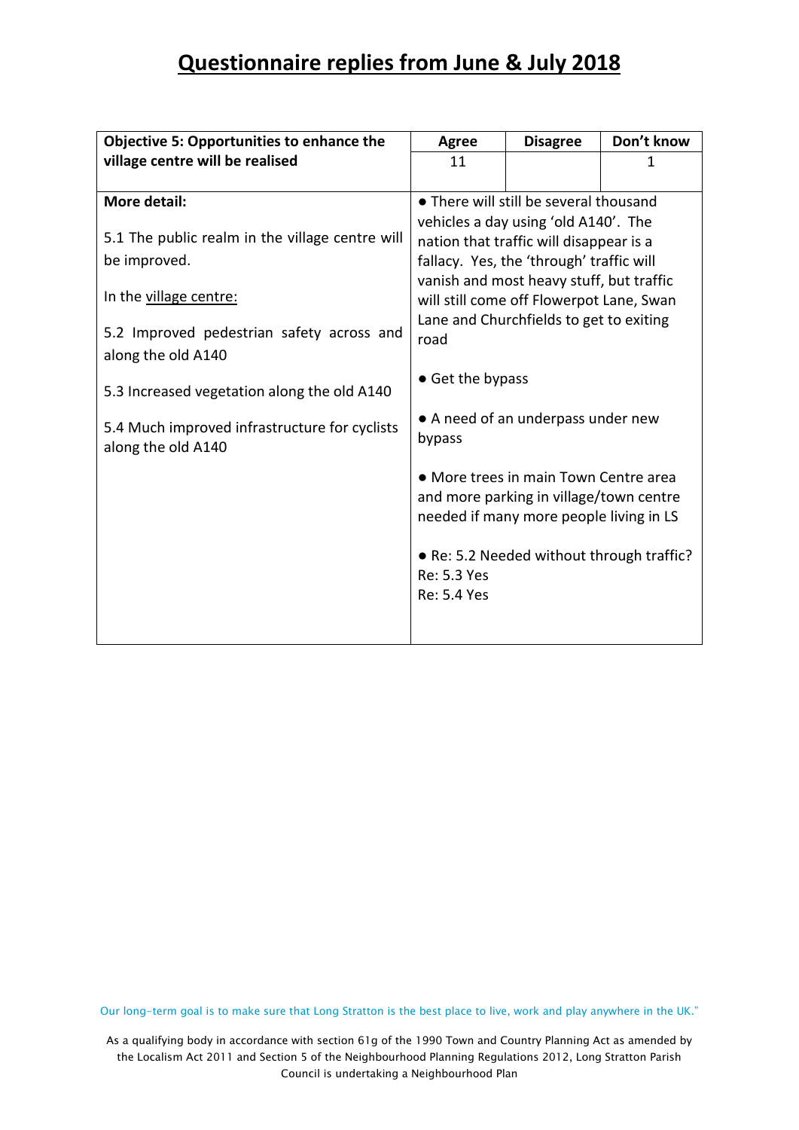| <b>Objective 5: Opportunities to enhance the</b> | <b>Agree</b>                       | <b>Disagree</b>                           | Don't know |  |  |
|--------------------------------------------------|------------------------------------|-------------------------------------------|------------|--|--|
| village centre will be realised                  | 11                                 |                                           | 1          |  |  |
|                                                  |                                    |                                           |            |  |  |
| More detail:                                     |                                    | • There will still be several thousand    |            |  |  |
|                                                  |                                    | vehicles a day using 'old A140'. The      |            |  |  |
| 5.1 The public realm in the village centre will  |                                    | nation that traffic will disappear is a   |            |  |  |
| be improved.                                     |                                    | fallacy. Yes, the 'through' traffic will  |            |  |  |
|                                                  |                                    | vanish and most heavy stuff, but traffic  |            |  |  |
| In the village centre:                           |                                    | will still come off Flowerpot Lane, Swan  |            |  |  |
|                                                  |                                    | Lane and Churchfields to get to exiting   |            |  |  |
| 5.2 Improved pedestrian safety across and        | road                               |                                           |            |  |  |
| along the old A140                               |                                    |                                           |            |  |  |
|                                                  | • Get the bypass                   |                                           |            |  |  |
| 5.3 Increased vegetation along the old A140      |                                    |                                           |            |  |  |
| 5.4 Much improved infrastructure for cyclists    | • A need of an underpass under new |                                           |            |  |  |
| along the old A140                               | bypass                             |                                           |            |  |  |
|                                                  |                                    |                                           |            |  |  |
|                                                  |                                    | • More trees in main Town Centre area     |            |  |  |
|                                                  |                                    | and more parking in village/town centre   |            |  |  |
|                                                  |                                    | needed if many more people living in LS   |            |  |  |
|                                                  |                                    |                                           |            |  |  |
|                                                  |                                    | • Re: 5.2 Needed without through traffic? |            |  |  |
|                                                  | Re: 5.3 Yes                        |                                           |            |  |  |
|                                                  | <b>Re: 5.4 Yes</b>                 |                                           |            |  |  |
|                                                  |                                    |                                           |            |  |  |
|                                                  |                                    |                                           |            |  |  |

Our long-term goal is to make sure that Long Stratton is the best place to live, work and play anywhere in the UK."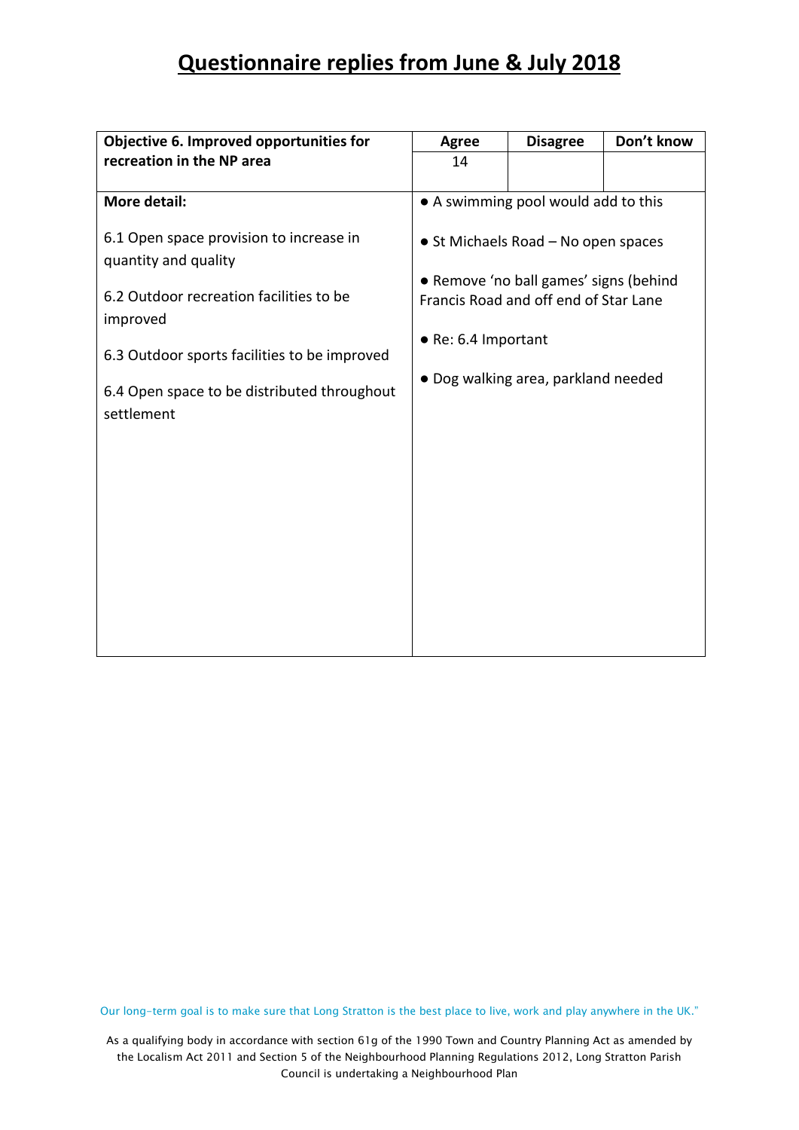| Objective 6. Improved opportunities for                         | <b>Agree</b>                                                                    | <b>Disagree</b>                     | Don't know |  |  |
|-----------------------------------------------------------------|---------------------------------------------------------------------------------|-------------------------------------|------------|--|--|
| recreation in the NP area                                       | 14                                                                              |                                     |            |  |  |
|                                                                 |                                                                                 |                                     |            |  |  |
| <b>More detail:</b>                                             |                                                                                 | • A swimming pool would add to this |            |  |  |
| 6.1 Open space provision to increase in<br>quantity and quality |                                                                                 | • St Michaels Road - No open spaces |            |  |  |
| 6.2 Outdoor recreation facilities to be<br>improved             | • Remove 'no ball games' signs (behind<br>Francis Road and off end of Star Lane |                                     |            |  |  |
| 6.3 Outdoor sports facilities to be improved                    | • Re: 6.4 Important<br>• Dog walking area, parkland needed                      |                                     |            |  |  |
| 6.4 Open space to be distributed throughout<br>settlement       |                                                                                 |                                     |            |  |  |
|                                                                 |                                                                                 |                                     |            |  |  |
|                                                                 |                                                                                 |                                     |            |  |  |
|                                                                 |                                                                                 |                                     |            |  |  |
|                                                                 |                                                                                 |                                     |            |  |  |
|                                                                 |                                                                                 |                                     |            |  |  |
|                                                                 |                                                                                 |                                     |            |  |  |

Our long-term goal is to make sure that Long Stratton is the best place to live, work and play anywhere in the UK."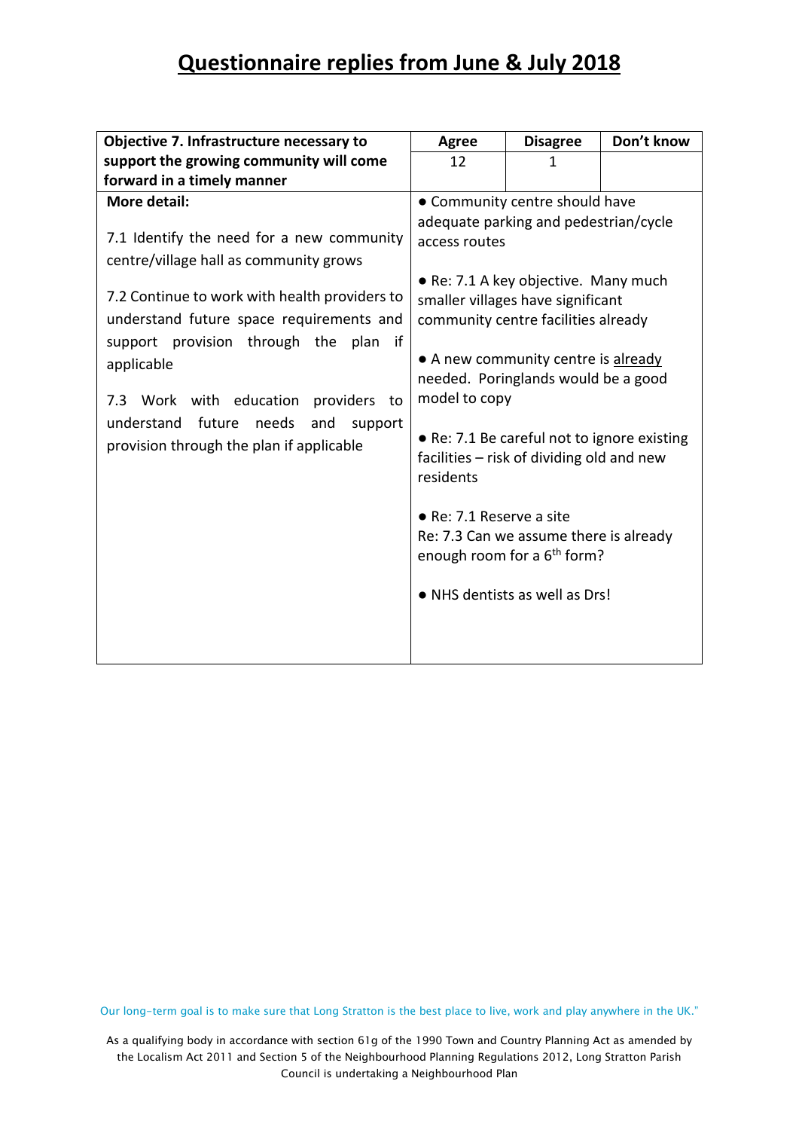| Objective 7. Infrastructure necessary to                                                                                                                                                                                                                                                                                                                                                                             | <b>Agree</b>                                                                    | <b>Disagree</b>                                                                                                                                                                                                                                                                                                                                                                                                                                                                              | Don't know |
|----------------------------------------------------------------------------------------------------------------------------------------------------------------------------------------------------------------------------------------------------------------------------------------------------------------------------------------------------------------------------------------------------------------------|---------------------------------------------------------------------------------|----------------------------------------------------------------------------------------------------------------------------------------------------------------------------------------------------------------------------------------------------------------------------------------------------------------------------------------------------------------------------------------------------------------------------------------------------------------------------------------------|------------|
| support the growing community will come                                                                                                                                                                                                                                                                                                                                                                              | 12                                                                              | 1                                                                                                                                                                                                                                                                                                                                                                                                                                                                                            |            |
| forward in a timely manner                                                                                                                                                                                                                                                                                                                                                                                           |                                                                                 |                                                                                                                                                                                                                                                                                                                                                                                                                                                                                              |            |
| <b>More detail:</b><br>7.1 Identify the need for a new community<br>centre/village hall as community grows<br>7.2 Continue to work with health providers to<br>understand future space requirements and<br>support provision through the<br>plan<br>if<br>applicable<br>Work with education<br>providers<br>7.3<br>to<br>understand<br>future<br>needs<br>and<br>support<br>provision through the plan if applicable | access routes<br>model to copy<br>residents<br>$\bullet$ Re: 7.1 Reserve a site | • Community centre should have<br>adequate parking and pedestrian/cycle<br>• Re: 7.1 A key objective. Many much<br>smaller villages have significant<br>community centre facilities already<br>• A new community centre is already<br>needed. Poringlands would be a good<br>• Re: 7.1 Be careful not to ignore existing<br>facilities – risk of dividing old and new<br>Re: 7.3 Can we assume there is already<br>enough room for a 6 <sup>th</sup> form?<br>• NHS dentists as well as Drs! |            |

Our long-term goal is to make sure that Long Stratton is the best place to live, work and play anywhere in the UK."